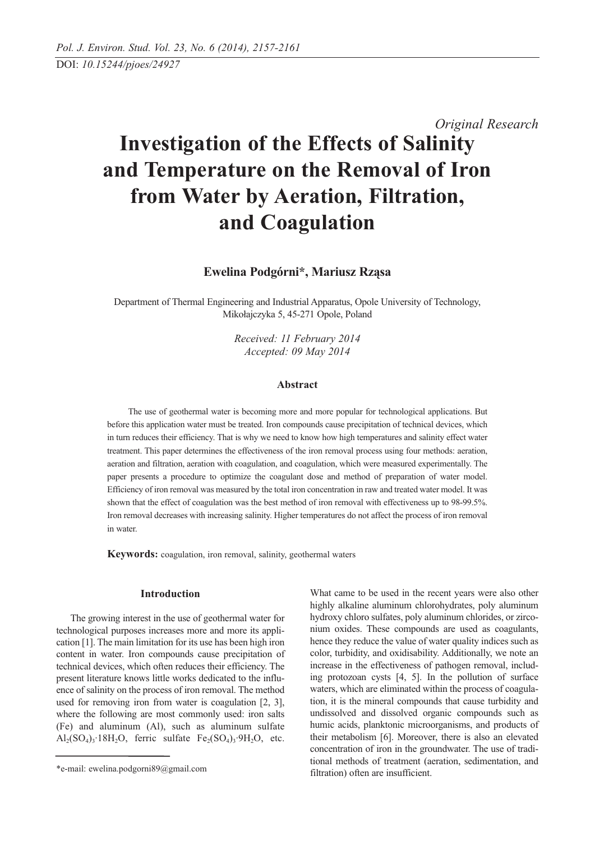*Original Research*

# **Investigation of the Effects of Salinity and Temperature on the Removal of Iron from Water by Aeration, Filtration, and Coagulation**

**Ewelina Podgórni\*, Mariusz Rząsa** 

Department of Thermal Engineering and Industrial Apparatus, Opole University of Technology, Mikołajczyka 5, 45-271 Opole, Poland

> *Received: 11 February 2014 Accepted: 09 May 2014*

# **Abstract**

The use of geothermal water is becoming more and more popular for technological applications. But before this application water must be treated. Iron compounds cause precipitation of technical devices, which in turn reduces their efficiency. That is why we need to know how high temperatures and salinity effect water treatment. This paper determines the effectiveness of the iron removal process using four methods: aeration, aeration and filtration, aeration with coagulation, and coagulation, which were measured experimentally. The paper presents a procedure to optimize the coagulant dose and method of preparation of water model. Efficiency of iron removal was measured by the total iron concentration in raw and treated water model. It was shown that the effect of coagulation was the best method of iron removal with effectiveness up to 98-99.5%. Iron removal decreases with increasing salinity. Higher temperatures do not affect the process of iron removal in water.

**Keywords:** coagulation, iron removal, salinity, geothermal waters

# **Introduction**

The growing interest in the use of geothermal water for technological purposes increases more and more its application [1]. The main limitation for its use has been high iron content in water. Iron compounds cause precipitation of technical devices, which often reduces their efficiency. The present literature knows little works dedicated to the influence of salinity on the process of iron removal. The method used for removing iron from water is coagulation [2, 3], where the following are most commonly used: iron salts (Fe) and aluminum (Al), such as aluminum sulfate  $\text{Al}_2(\text{SO}_4)$ <sub>3</sub>·18H<sub>2</sub>O, ferric sulfate Fe<sub>2</sub>(SO<sub>4</sub>)<sub>3</sub>·9H<sub>2</sub>O, etc.

What came to be used in the recent years were also other highly alkaline aluminum chlorohydrates, poly aluminum hydroxy chloro sulfates, poly aluminum chlorides, or zirconium oxides. These compounds are used as coagulants, hence they reduce the value of water quality indices such as color, turbidity, and oxidisability. Additionally, we note an increase in the effectiveness of pathogen removal, including protozoan cysts [4, 5]. In the pollution of surface waters, which are eliminated within the process of coagulation, it is the mineral compounds that cause turbidity and undissolved and dissolved organic compounds such as humic acids, planktonic microorganisms, and products of their metabolism [6]. Moreover, there is also an elevated concentration of iron in the groundwater. The use of traditional methods of treatment (aeration, sedimentation, and filtration) often are insufficient.

<sup>\*</sup>e-mail: ewelina.podgorni89@gmail.com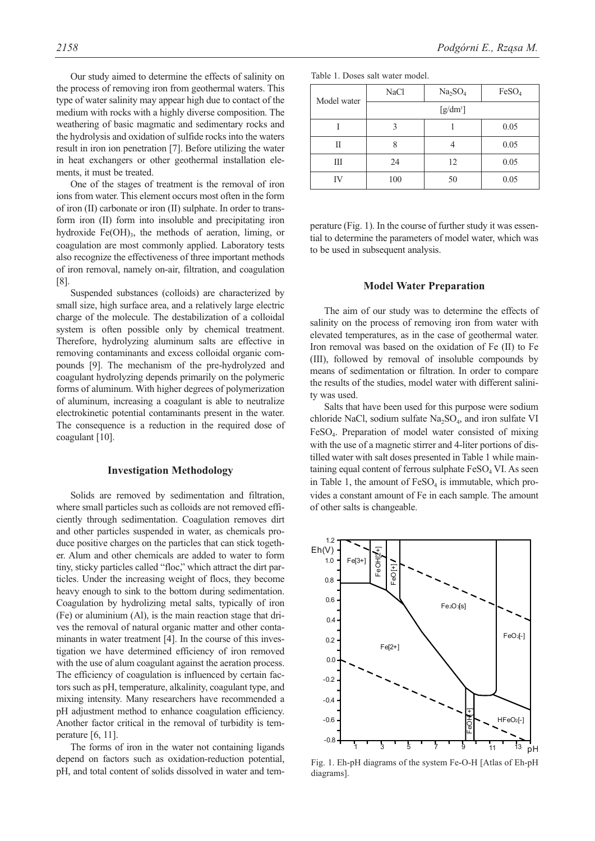Our study aimed to determine the effects of salinity on the process of removing iron from geothermal waters. This type of water salinity may appear high due to contact of the medium with rocks with a highly diverse composition. The weathering of basic magmatic and sedimentary rocks and the hydrolysis and oxidation of sulfide rocks into the waters result in iron ion penetration [7]. Before utilizing the water in heat exchangers or other geothermal installation elements, it must be treated.

One of the stages of treatment is the removal of iron ions from water. This element occurs most often in the form of iron (II) carbonate or iron (II) sulphate. In order to transform iron (II) form into insoluble and precipitating iron hydroxide  $Fe(OH)_{3}$ , the methods of aeration, liming, or coagulation are most commonly applied. Laboratory tests also recognize the effectiveness of three important methods of iron removal, namely on-air, filtration, and coagulation [8].

Suspended substances (colloids) are characterized by small size, high surface area, and a relatively large electric charge of the molecule. The destabilization of a colloidal system is often possible only by chemical treatment. Therefore, hydrolyzing aluminum salts are effective in removing contaminants and excess colloidal organic compounds [9]. The mechanism of the pre-hydrolyzed and coagulant hydrolyzing depends primarily on the polymeric forms of aluminum. With higher degrees of polymerization of aluminum, increasing a coagulant is able to neutralize electrokinetic potential contaminants present in the water. The consequence is a reduction in the required dose of coagulant [10].

#### **Investigation Methodology**

Solids are removed by sedimentation and filtration, where small particles such as colloids are not removed efficiently through sedimentation. Coagulation removes dirt and other particles suspended in water, as chemicals produce positive charges on the particles that can stick together. Alum and other chemicals are added to water to form tiny, sticky particles called "floc," which attract the dirt particles. Under the increasing weight of flocs, they become heavy enough to sink to the bottom during sedimentation. Coagulation by hydrolizing metal salts, typically of iron (Fe) or aluminium (Al), is the main reaction stage that drives the removal of natural organic matter and other contaminants in water treatment [4]. In the course of this investigation we have determined efficiency of iron removed with the use of alum coagulant against the aeration process. The efficiency of coagulation is influenced by certain factors such as pH, temperature, alkalinity, coagulant type, and mixing intensity. Many researchers have recommended a pH adjustment method to enhance coagulation efficiency. Another factor critical in the removal of turbidity is temperature [6, 11].

The forms of iron in the water not containing ligands depend on factors such as oxidation-reduction potential, pH, and total content of solids dissolved in water and tem-

| Model water | <b>NaCl</b> | Na <sub>2</sub> SO <sub>4</sub> | FeSO <sub>4</sub> |  |  |  |  |
|-------------|-------------|---------------------------------|-------------------|--|--|--|--|
|             | $[g/dm^3]$  |                                 |                   |  |  |  |  |
|             | 3           |                                 | 0.05              |  |  |  |  |
| П           |             |                                 | 0.05              |  |  |  |  |
| Ш           | 24          | 12                              | 0.05              |  |  |  |  |
|             | 100         | 50                              | 0.05              |  |  |  |  |

perature (Fig. 1). In the course of further study it was essential to determine the parameters of model water, which was to be used in subsequent analysis.

### **Model Water Preparation**

The aim of our study was to determine the effects of salinity on the process of removing iron from water with elevated temperatures, as in the case of geothermal water. Iron removal was based on the oxidation of Fe (II) to Fe (III), followed by removal of insoluble compounds by means of sedimentation or filtration. In order to compare the results of the studies, model water with different salinity was used.

Salts that have been used for this purpose were sodium chloride NaCl, sodium sulfate  $Na<sub>2</sub>SO<sub>4</sub>$ , and iron sulfate VI FeSO<sub>4</sub>. Preparation of model water consisted of mixing with the use of a magnetic stirrer and 4-liter portions of distilled water with salt doses presented in Table 1 while maintaining equal content of ferrous sulphate  $FeSO<sub>4</sub>$  VI. As seen in Table 1, the amount of  $FeSO<sub>4</sub>$  is immutable, which provides a constant amount of Fe in each sample. The amount of other salts is changeable.



Fig. 1. Eh-pH diagrams of the system Fe-O-H [Atlas of Eh-pH diagrams].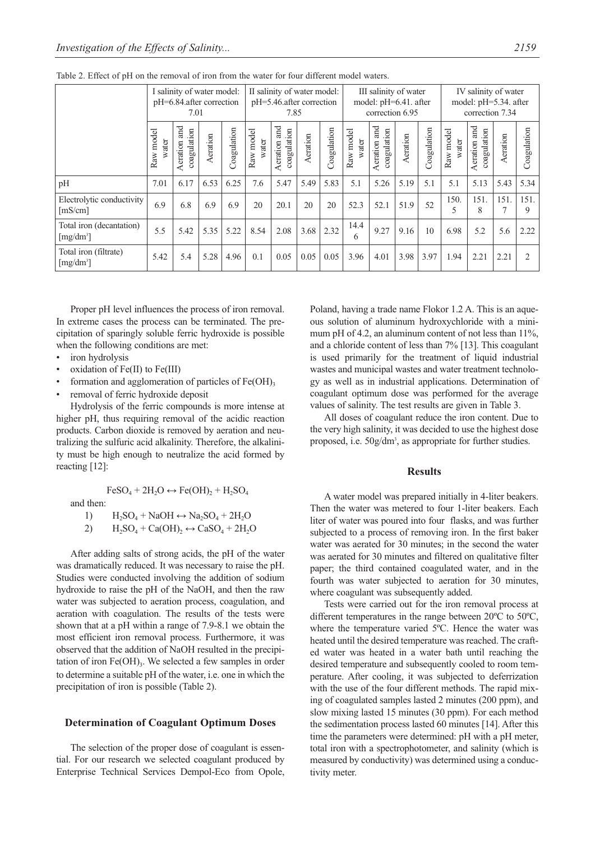|                                                   | I salinity of water model:<br>pH=6.84.after correction<br>7.01 |                                |          | II salinity of water model:<br>pH=5.46.after correction<br>7.85 |                    |                                | III salinity of water<br>model: pH=6.41. after<br>correction 6.95 |             |                    |                                | IV salinity of water<br>model: pH=5.34. after<br>correction 7.34 |             |                    |                                |          |                |
|---------------------------------------------------|----------------------------------------------------------------|--------------------------------|----------|-----------------------------------------------------------------|--------------------|--------------------------------|-------------------------------------------------------------------|-------------|--------------------|--------------------------------|------------------------------------------------------------------|-------------|--------------------|--------------------------------|----------|----------------|
|                                                   | Raw model<br>water                                             | and<br>coagulation<br>Aeration | Aeration | Coagulation                                                     | Raw model<br>water | and<br>coagulation<br>Aeration | Aeration                                                          | Coagulation | Raw model<br>water | and<br>coagulation<br>Aeration | Aeration                                                         | Coagulation | Raw model<br>water | and<br>coagulation<br>Aeration | Aeration | oagulation     |
| pH                                                | 7.01                                                           | 6.17                           | 6.53     | 6.25                                                            | 7.6                | 5.47                           | 5.49                                                              | 5.83        | 5.1                | 5.26                           | 5.19                                                             | 5.1         | 5.1                | 5.13                           | 5.43     | 5.34           |
| Electrolytic conductivity<br>[mS/cm]              | 6.9                                                            | 6.8                            | 6.9      | 6.9                                                             | 20                 | 20.1                           | 20                                                                | 20          | 52.3               | 52.1                           | 51.9                                                             | 52          | 150.<br>5          | 151.<br>8                      | 151.     | 151.<br>9      |
| Total iron (decantation)<br>[mg/dm <sup>3</sup> ] | 5.5                                                            | 5.42                           | 5.35     | 5.22                                                            | 8.54               | 2.08                           | 3.68                                                              | 2.32        | 14.4<br>6          | 9.27                           | 9.16                                                             | 10          | 6.98               | 5.2                            | 5.6      | 2.22           |
| Total iron (filtrate)<br>$[mg/dm^3]$              | 5.42                                                           | 5.4                            | 5.28     | 4.96                                                            | 0.1                | 0.05                           | 0.05                                                              | 0.05        | 3.96               | 4.01                           | 3.98                                                             | 3.97        | 1.94               | 2.21                           | 2.21     | $\mathfrak{D}$ |

Table 2. Effect of pH on the removal of iron from the water for four different model waters.

Proper pH level influences the process of iron removal. In extreme cases the process can be terminated. The precipitation of sparingly soluble ferric hydroxide is possible when the following conditions are met:

- iron hydrolysis
- oxidation of  $Fe(II)$  to  $Fe(III)$
- formation and agglomeration of particles of  $Fe(OH)$ <sub>3</sub>
- removal of ferric hydroxide deposit

Hydrolysis of the ferric compounds is more intense at higher pH, thus requiring removal of the acidic reaction products. Carbon dioxide is removed by aeration and neutralizing the sulfuric acid alkalinity. Therefore, the alkalinity must be high enough to neutralize the acid formed by reacting [12]:

 $FeSO<sub>4</sub> + 2H<sub>2</sub>O \leftrightarrow Fe(OH)<sub>2</sub> + H<sub>2</sub>SO<sub>4</sub>$ 

and then:

1) 
$$
H_2SO_4 + NaOH \leftrightarrow Na_2SO_4 + 2H_2O
$$

2)  $H_2SO_4 + Ca(OH)_2 \leftrightarrow CaSO_4 + 2H_2O$ 

After adding salts of strong acids, the pH of the water was dramatically reduced. It was necessary to raise the pH. Studies were conducted involving the addition of sodium hydroxide to raise the pH of the NaOH, and then the raw water was subjected to aeration process, coagulation, and aeration with coagulation. The results of the tests were shown that at a pH within a range of 7.9-8.1 we obtain the most efficient iron removal process. Furthermore, it was observed that the addition of NaOH resulted in the precipitation of iron  $Fe(OH)$ <sub>3</sub>. We selected a few samples in order to determine a suitable pH of the water, i.e. one in which the precipitation of iron is possible (Table 2).

#### **Determination of Coagulant Optimum Doses**

The selection of the proper dose of coagulant is essential. For our research we selected coagulant produced by Enterprise Technical Services Dempol-Eco from Opole, Poland, having a trade name Flokor 1.2 A. This is an aqueous solution of aluminum hydroxychloride with a minimum pH of 4.2, an aluminum content of not less than 11%, and a chloride content of less than 7% [13]. This coagulant is used primarily for the treatment of liquid industrial wastes and municipal wastes and water treatment technology as well as in industrial applications. Determination of coagulant optimum dose was performed for the average values of salinity. The test results are given in Table 3.

All doses of coagulant reduce the iron content. Due to the very high salinity, it was decided to use the highest dose proposed, i.e. 50g/dm<sup>3</sup>, as appropriate for further studies.

## **Results**

A water model was prepared initially in 4-liter beakers. Then the water was metered to four 1-liter beakers. Each liter of water was poured into four flasks, and was further subjected to a process of removing iron. In the first baker water was aerated for 30 minutes; in the second the water was aerated for 30 minutes and filtered on qualitative filter paper; the third contained coagulated water, and in the fourth was water subjected to aeration for 30 minutes, where coagulant was subsequently added.

Tests were carried out for the iron removal process at different temperatures in the range between 20ºC to 50ºC, where the temperature varied 5ºC. Hence the water was heated until the desired temperature was reached. The crafted water was heated in a water bath until reaching the desired temperature and subsequently cooled to room temperature. After cooling, it was subjected to deferrization with the use of the four different methods. The rapid mixing of coagulated samples lasted 2 minutes (200 ppm), and slow mixing lasted 15 minutes (30 ppm). For each method the sedimentation process lasted 60 minutes [14]. After this time the parameters were determined: pH with a pH meter, total iron with a spectrophotometer, and salinity (which is measured by conductivity) was determined using a conductivity meter.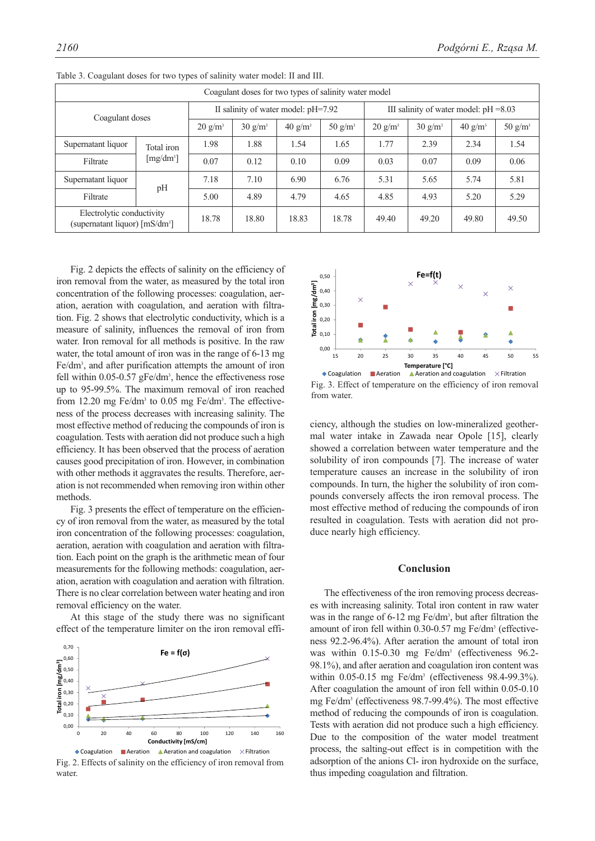| Coagulant doses for two types of salinity water model        |             |                    |                                       |                    |            |                                          |                    |                    |                    |  |
|--------------------------------------------------------------|-------------|--------------------|---------------------------------------|--------------------|------------|------------------------------------------|--------------------|--------------------|--------------------|--|
| Coagulant doses                                              |             |                    | II salinity of water model: $pH=7.92$ |                    |            | III salinity of water model: $pH = 8.03$ |                    |                    |                    |  |
|                                                              |             | $20 \text{ g/m}^3$ | $30 \text{ g/m}^3$                    | $40 \text{ g/m}^3$ | 50 $g/m^3$ | $20 \text{ g/m}^3$                       | $30 \text{ g/m}^3$ | $40 \text{ g/m}^3$ | $50 \text{ g/m}^3$ |  |
| Supernatant liquor                                           | Total iron  | 1.98               | 1.88                                  | 1.54               | 1.65       | 1.77                                     | 2.39               | 2.34               | 1.54               |  |
| Filtrate                                                     | $[mg/dm^3]$ | 0.07               | 0.12                                  | 0.10               | 0.09       | 0.03                                     | 0.07               | 0.09               | 0.06               |  |
| Supernatant liquor                                           | pH          | 7.18               | 7.10                                  | 6.90               | 6.76       | 5.31                                     | 5.65               | 5.74               | 5.81               |  |
| Filtrate                                                     |             | 5.00               | 4.89                                  | 4.79               | 4.65       | 4.85                                     | 4.93               | 5.20               | 5.29               |  |
| Electrolytic conductivity<br>(supernatant liquor) $[mS/dm3]$ |             | 18.78              | 18.80                                 | 18.83              | 18.78      | 49.40                                    | 49.20              | 49.80              | 49.50              |  |

Table 3. Coagulant doses for two types of salinity water model: II and III.

Fig. 2 depicts the effects of salinity on the efficiency of iron removal from the water, as measured by the total iron concentration of the following processes: coagulation, aeration, aeration with coagulation, and aeration with filtration. Fig. 2 shows that electrolytic conductivity, which is a measure of salinity, influences the removal of iron from water. Iron removal for all methods is positive. In the raw water, the total amount of iron was in the range of 6-13 mg Fe/dm<sup>3</sup>, and after purification attempts the amount of iron fell within 0.05-0.57 gFe/dm<sup>3</sup>, hence the effectiveness rose up to 95-99.5%. The maximum removal of iron reached from  $12.20$  mg Fe/dm<sup>3</sup> to  $0.05$  mg Fe/dm<sup>3</sup>. The effectiveness of the process decreases with increasing salinity. The most effective method of reducing the compounds of iron is coagulation. Tests with aeration did not produce such a high efficiency. It has been observed that the process of aeration causes good precipitation of iron. However, in combination with other methods it aggravates the results. Therefore, aeration is not recommended when removing iron within other methods.

Fig. 3 presents the effect of temperature on the efficiency of iron removal from the water, as measured by the total iron concentration of the following processes: coagulation, aeration, aeration with coagulation and aeration with filtration. Each point on the graph is the arithmetic mean of four measurements for the following methods: coagulation, aeration, aeration with coagulation and aeration with filtration. There is no clear correlation between water heating and iron removal efficiency on the water.

At this stage of the study there was no significant effect of the temperature limiter on the iron removal effi-



Fig. 2. Effects of salinity on the efficiency of iron removal from water.



Fig. 3. Effect of temperature on the efficiency of iron removal from water.

ciency, although the studies on low-mineralized geothermal water intake in Zawada near Opole [15], clearly showed a correlation between water temperature and the solubility of iron compounds [7]. The increase of water temperature causes an increase in the solubility of iron compounds. In turn, the higher the solubility of iron compounds conversely affects the iron removal process. The most effective method of reducing the compounds of iron resulted in coagulation. Tests with aeration did not produce nearly high efficiency.

### **Conclusion**

The effectiveness of the iron removing process decreases with increasing salinity. Total iron content in raw water was in the range of 6-12 mg Fe/dm<sup>3</sup>, but after filtration the amount of iron fell within 0.30-0.57 mg Fe/dm<sup>3</sup> (effectiveness 92.2-96.4%). After aeration the amount of total iron was within 0.15-0.30 mg Fe/dm<sup>3</sup> (effectiveness 96.2-98.1%), and after aeration and coagulation iron content was within 0.05-0.15 mg Fe/dm3 (effectiveness 98.4-99.3%). After coagulation the amount of iron fell within 0.05-0.10 mg Fe/dm3 (effectiveness 98.7-99.4%). The most effective method of reducing the compounds of iron is coagulation. Tests with aeration did not produce such a high efficiency. Due to the composition of the water model treatment process, the salting-out effect is in competition with the adsorption of the anions Cl- iron hydroxide on the surface, thus impeding coagulation and filtration.